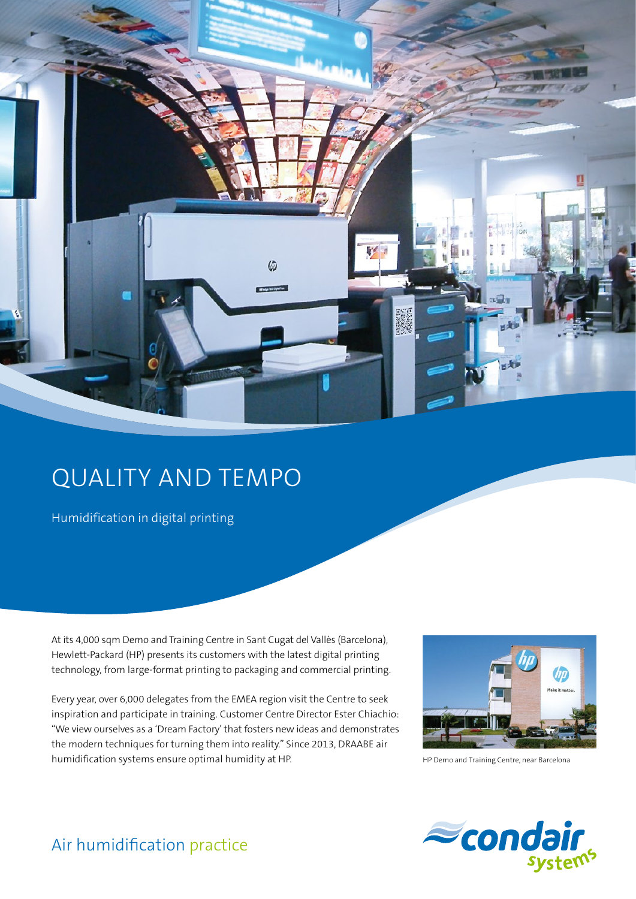

## QUALITY AND TEMPO

Humidification in digital printing

At its 4,000 sqm Demo and Training Centre in Sant Cugat del Vallès (Barcelona), Hewlett-Packard (HP) presents its customers with the latest digital printing technology, from large-format printing to packaging and commercial printing.

Every year, over 6,000 delegates from the EMEA region visit the Centre to seek inspiration and participate in training. Customer Centre Director Ester Chiachio: "We view ourselves as a 'Dream Factory' that fosters new ideas and demonstrates the modern techniques for turning them into reality." Since 2013, DRAABE air humidification systems ensure optimal humidity at HP.



HP Demo and Training Centre, near Barcelona



## Air humidification practice